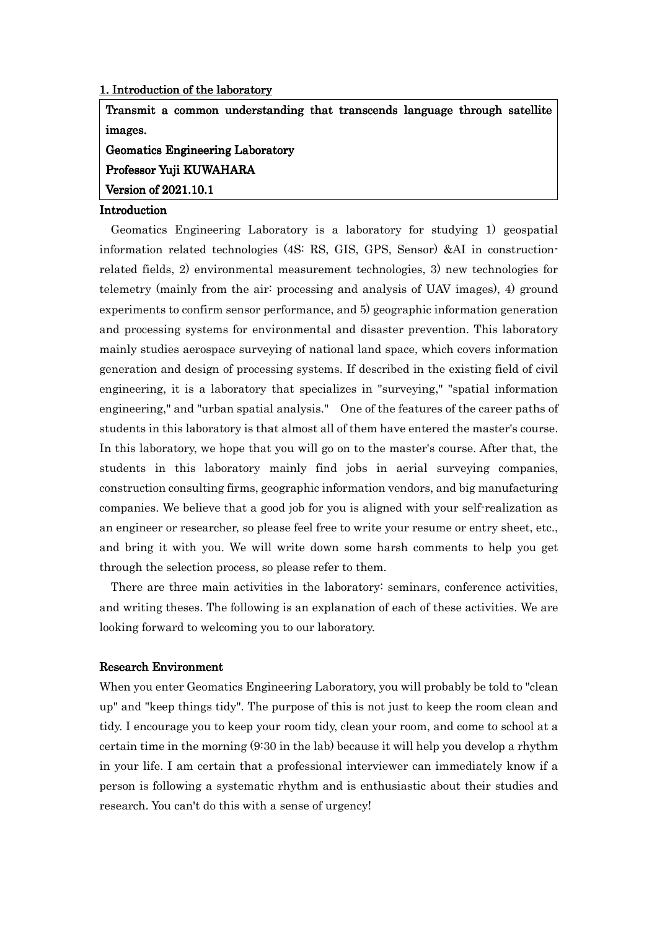#### 1. Introduction of the laboratory

Transmit a common understanding that transcends language through satellite images.

Geomatics Engineering Laboratory

Professor Yuji KUWAHARA

Version of 2021.10.1

### Introduction

 Geomatics Engineering Laboratory is a laboratory for studying 1) geospatial information related technologies (4S: RS, GIS, GPS, Sensor) &AI in constructionrelated fields, 2) environmental measurement technologies, 3) new technologies for telemetry (mainly from the air: processing and analysis of UAV images), 4) ground experiments to confirm sensor performance, and 5) geographic information generation and processing systems for environmental and disaster prevention. This laboratory mainly studies aerospace surveying of national land space, which covers information generation and design of processing systems. If described in the existing field of civil engineering, it is a laboratory that specializes in "surveying," "spatial information engineering," and "urban spatial analysis." One of the features of the career paths of students in this laboratory is that almost all of them have entered the master's course. In this laboratory, we hope that you will go on to the master's course. After that, the students in this laboratory mainly find jobs in aerial surveying companies, construction consulting firms, geographic information vendors, and big manufacturing companies. We believe that a good job for you is aligned with your self-realization as an engineer or researcher, so please feel free to write your resume or entry sheet, etc., and bring it with you. We will write down some harsh comments to help you get through the selection process, so please refer to them.

 There are three main activities in the laboratory: seminars, conference activities, and writing theses. The following is an explanation of each of these activities. We are looking forward to welcoming you to our laboratory.

#### Research Environment

When you enter Geomatics Engineering Laboratory, you will probably be told to "clean up" and "keep things tidy". The purpose of this is not just to keep the room clean and tidy. I encourage you to keep your room tidy, clean your room, and come to school at a certain time in the morning (9:30 in the lab) because it will help you develop a rhythm in your life. I am certain that a professional interviewer can immediately know if a person is following a systematic rhythm and is enthusiastic about their studies and research. You can't do this with a sense of urgency!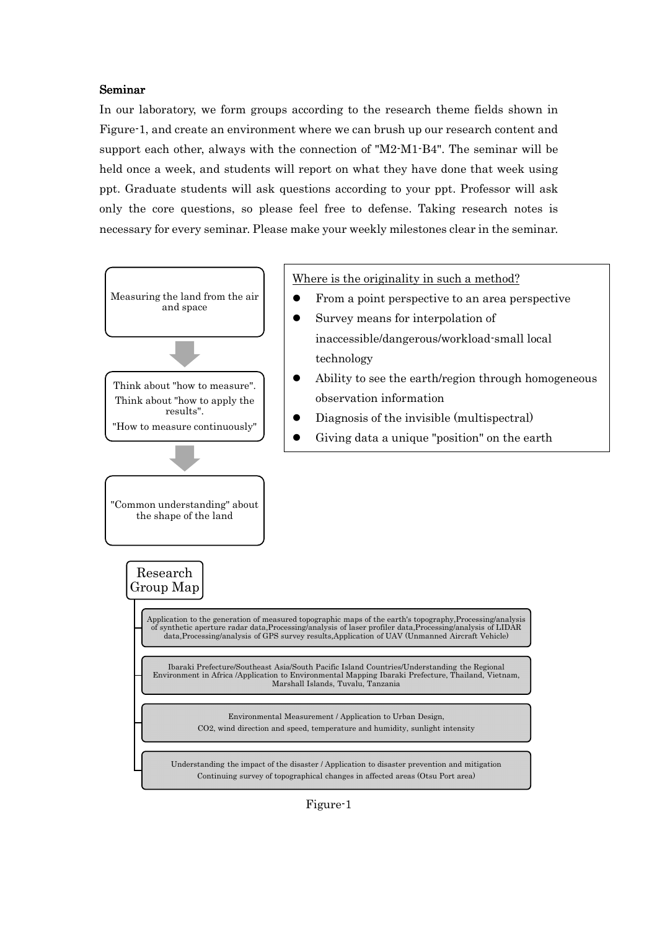#### Seminar

In our laboratory, we form groups according to the research theme fields shown in Figure-1, and create an environment where we can brush up our research content and support each other, always with the connection of "M2-M1-B4". The seminar will be held once a week, and students will report on what they have done that week using ppt. Graduate students will ask questions according to your ppt. Professor will ask only the core questions, so please feel free to defense. Taking research notes is necessary for every seminar. Please make your weekly milestones clear in the seminar.



Figure-1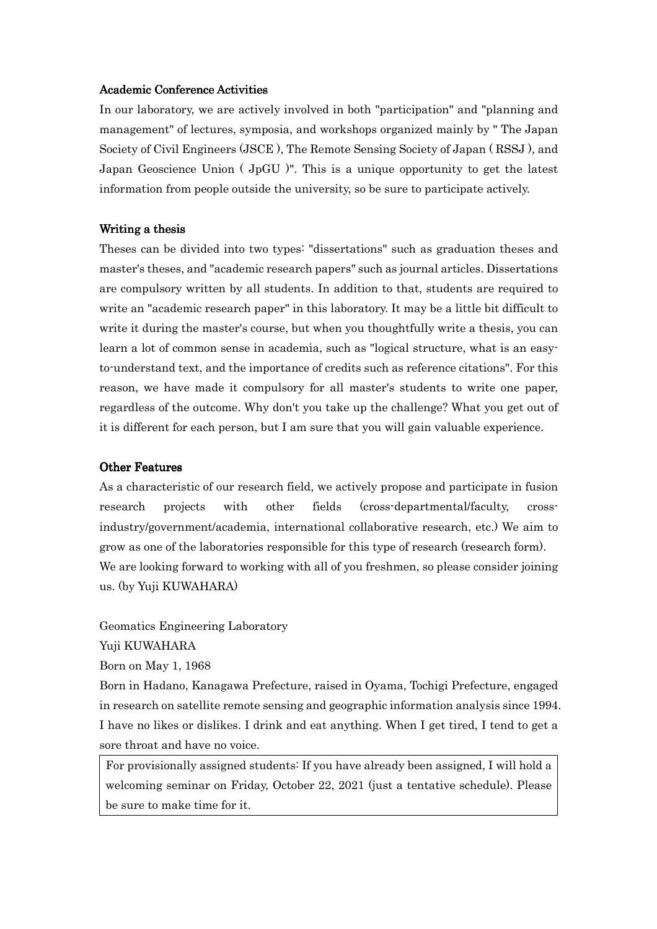#### Academic Conference Activities

In our laboratory, we are actively involved in both "participation" and "planning and management" of lectures, symposia, and workshops organized mainly by " The Japan Society of Civil Engineers (JSCE ), The Remote Sensing Society of Japan ( RSSJ ), and Japan Geoscience Union ( JpGU )". This is a unique opportunity to get the latest information from people outside the university, so be sure to participate actively.

#### Writing a thesis

Theses can be divided into two types: "dissertations" such as graduation theses and master's theses, and "academic research papers" such as journal articles. Dissertations are compulsory written by all students. In addition to that, students are required to write an "academic research paper" in this laboratory. It may be a little bit difficult to write it during the master's course, but when you thoughtfully write a thesis, you can learn a lot of common sense in academia, such as "logical structure, what is an easyto-understand text, and the importance of credits such as reference citations". For this reason, we have made it compulsory for all master's students to write one paper, regardless of the outcome. Why don't you take up the challenge? What you get out of it is different for each person, but I am sure that you will gain valuable experience.

#### Other Features

As a characteristic of our research field, we actively propose and participate in fusion research projects with other fields (cross-departmental/faculty, crossindustry/government/academia, international collaborative research, etc.) We aim to grow as one of the laboratories responsible for this type of research (research form). We are looking forward to working with all of you freshmen, so please consider joining us. (by Yuji KUWAHARA)

Geomatics Engineering Laboratory

Yuji KUWAHARA

Born on May 1, 1968

Born in Hadano, Kanagawa Prefecture, raised in Oyama, Tochigi Prefecture, engaged in research on satellite remote sensing and geographic information analysis since 1994. I have no likes or dislikes. I drink and eat anything. When I get tired, I tend to get a sore throat and have no voice.

For provisionally assigned students: If you have already been assigned, I will hold a welcoming seminar on Friday, October 22, 2021 (just a tentative schedule). Please be sure to make time for it.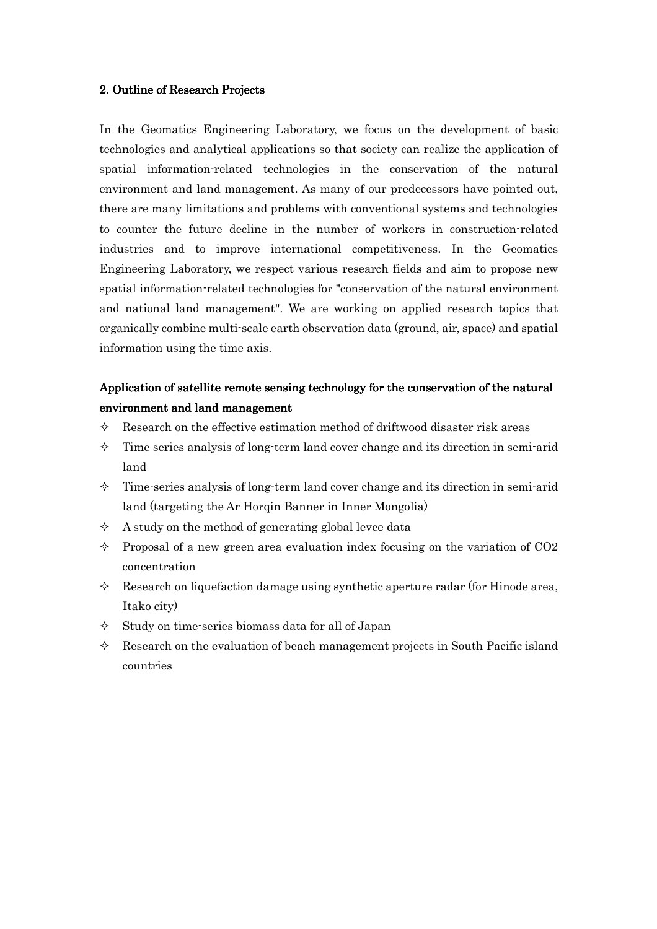### 2. Outline of Research Projects

In the Geomatics Engineering Laboratory, we focus on the development of basic technologies and analytical applications so that society can realize the application of spatial information-related technologies in the conservation of the natural environment and land management. As many of our predecessors have pointed out, there are many limitations and problems with conventional systems and technologies to counter the future decline in the number of workers in construction-related industries and to improve international competitiveness. In the Geomatics Engineering Laboratory, we respect various research fields and aim to propose new spatial information-related technologies for "conservation of the natural environment and national land management". We are working on applied research topics that organically combine multi-scale earth observation data (ground, air, space) and spatial information using the time axis.

# Application of satellite remote sensing technology for the conservation of the natural environment and land management

- $\Diamond$  Research on the effective estimation method of driftwood disaster risk areas
- $\Diamond$  Time series analysis of long-term land cover change and its direction in semi-arid land
- $\Diamond$  Time-series analysis of long-term land cover change and its direction in semi-arid land (targeting the Ar Horqin Banner in Inner Mongolia)
- $\Diamond$  A study on the method of generating global levee data
- $\Diamond$  Proposal of a new green area evaluation index focusing on the variation of CO2 concentration
- $\Diamond$  Research on liquefaction damage using synthetic aperture radar (for Hinode area, Itako city)
- $\Diamond$  Study on time-series biomass data for all of Japan
- $\Diamond$  Research on the evaluation of beach management projects in South Pacific island countries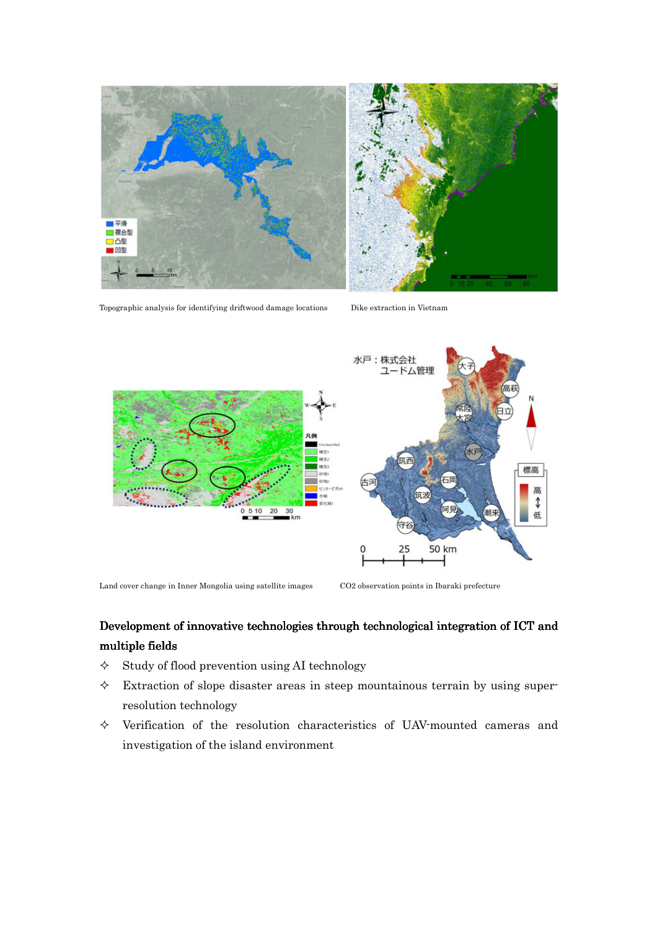

Topographic analysis for identifying driftwood damage locations Dike extraction in Vietnam



Land cover change in Inner Mongolia using satellite images CO2 observation points in Ibaraki prefecture

# Development of innovative technologies through technological integration of ICT and multiple fields

- $\diamond$  Study of flood prevention using AI technology
- $\Diamond$  Extraction of slope disaster areas in steep mountainous terrain by using superresolution technology
- $\Diamond$  Verification of the resolution characteristics of UAV-mounted cameras and investigation of the island environment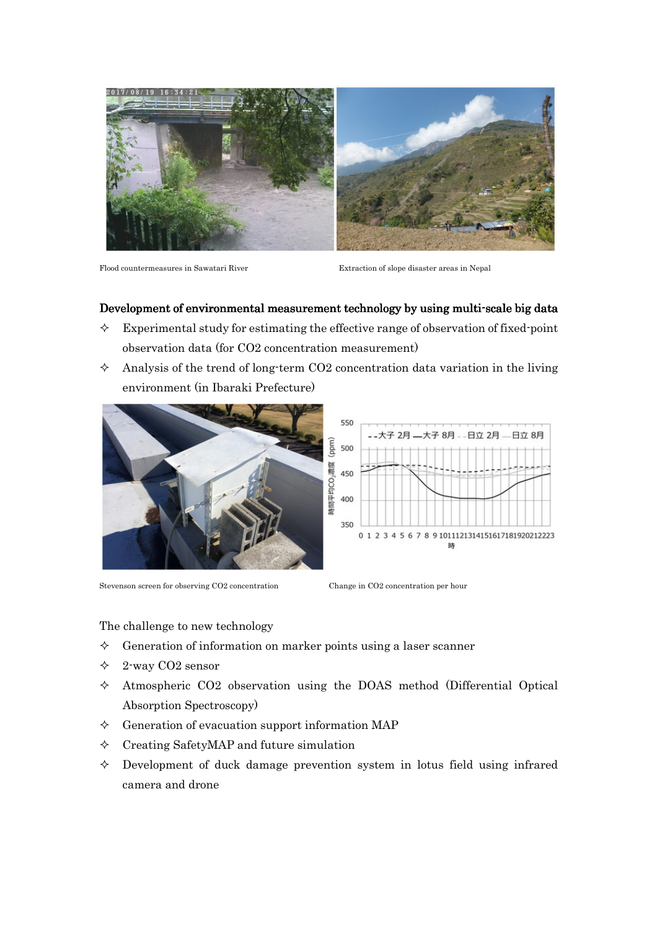

Flood countermeasures in Sawatari River Extraction of slope disaster areas in Nepal

### Development of environmental measurement technology by using multi-scale big data

- $\Diamond$  Experimental study for estimating the effective range of observation of fixed-point observation data (for CO2 concentration measurement)
- $\Diamond$  Analysis of the trend of long-term CO2 concentration data variation in the living environment (in Ibaraki Prefecture)



Stevenson screen for observing CO2 concentration Change in CO2 concentration per hour



The challenge to new technology

- $\Diamond$  Generation of information on marker points using a laser scanner
- $\div$  2-way CO2 sensor
- $\Diamond$  Atmospheric CO2 observation using the DOAS method (Differential Optical Absorption Spectroscopy)
- $\Diamond$  Generation of evacuation support information MAP
- $\Diamond$  Creating SafetyMAP and future simulation
- $\Diamond$  Development of duck damage prevention system in lotus field using infrared camera and drone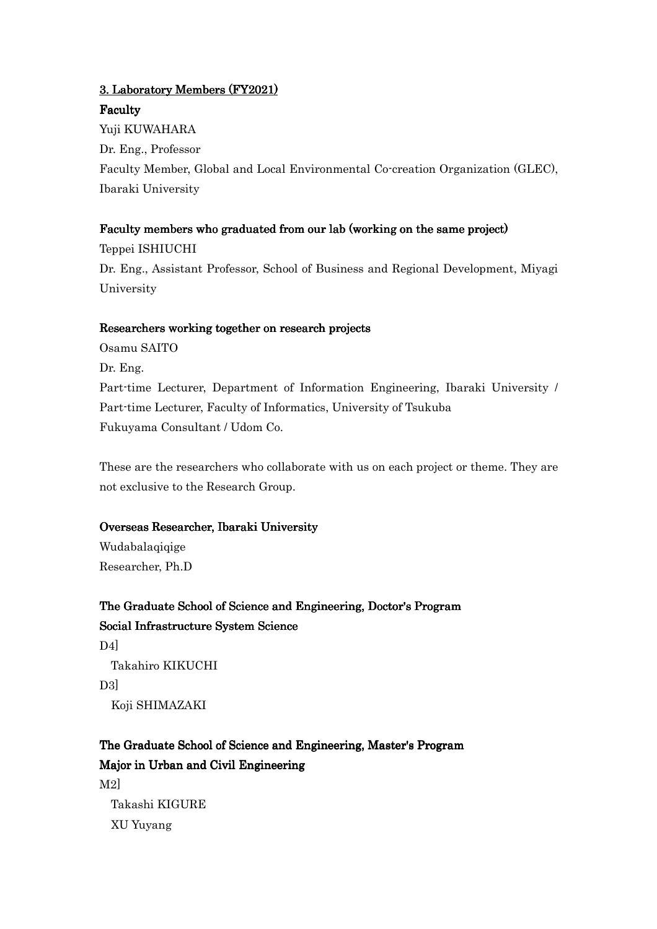# 3. Laboratory Members (FY2021) Faculty

Yuji KUWAHARA Dr. Eng., Professor Faculty Member, Global and Local Environmental Co-creation Organization (GLEC), Ibaraki University

# Faculty members who graduated from our lab (working on the same project)

Teppei ISHIUCHI Dr. Eng., Assistant Professor, School of Business and Regional Development, Miyagi University

## Researchers working together on research projects

Osamu SAITO Dr. Eng. Part-time Lecturer, Department of Information Engineering, Ibaraki University / Part-time Lecturer, Faculty of Informatics, University of Tsukuba Fukuyama Consultant / Udom Co.

These are the researchers who collaborate with us on each project or theme. They are not exclusive to the Research Group.

# Overseas Researcher, Ibaraki University

Wudabalaqiqige Researcher, Ph.D

The Graduate School of Science and Engineering, Doctor's Program Social Infrastructure System Science D4] Takahiro KIKUCHI D3] Koji SHIMAZAKI

The Graduate School of Science and Engineering, Master's Program Major in Urban and Civil Engineering M2] Takashi KIGURE XU Yuyang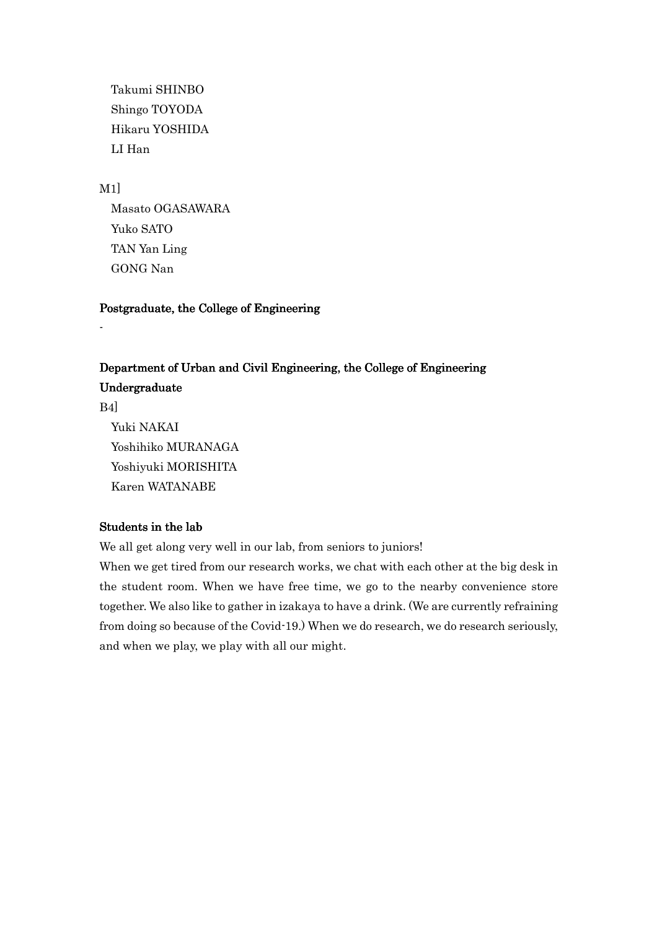Takumi SHINBO Shingo TOYODA Hikaru YOSHIDA LI Han

M1]

-

 Masato OGASAWARA Yuko SATO TAN Yan Ling GONG Nan

Postgraduate, the College of Engineering

# Department of Urban and Civil Engineering, the College of Engineering Undergraduate

B4] Yuki NAKAI Yoshihiko MURANAGA Yoshiyuki MORISHITA Karen WATANABE

### Students in the lab

We all get along very well in our lab, from seniors to juniors!

When we get tired from our research works, we chat with each other at the big desk in the student room. When we have free time, we go to the nearby convenience store together. We also like to gather in izakaya to have a drink. (We are currently refraining from doing so because of the Covid-19.) When we do research, we do research seriously, and when we play, we play with all our might.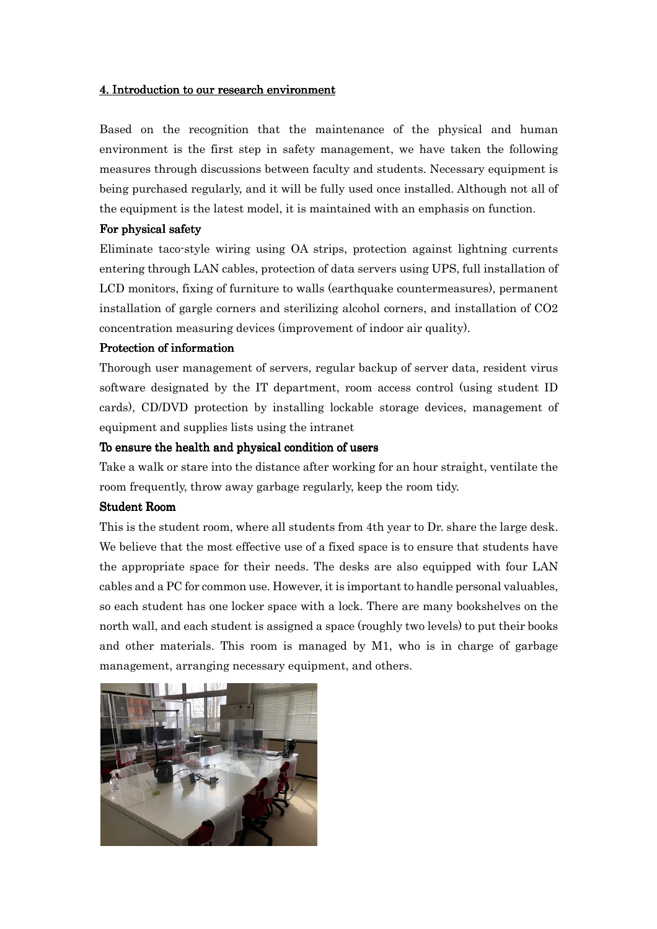#### 4. Introduction to our research environment

Based on the recognition that the maintenance of the physical and human environment is the first step in safety management, we have taken the following measures through discussions between faculty and students. Necessary equipment is being purchased regularly, and it will be fully used once installed. Although not all of the equipment is the latest model, it is maintained with an emphasis on function.

#### For physical safety

Eliminate taco-style wiring using OA strips, protection against lightning currents entering through LAN cables, protection of data servers using UPS, full installation of LCD monitors, fixing of furniture to walls (earthquake countermeasures), permanent installation of gargle corners and sterilizing alcohol corners, and installation of CO2 concentration measuring devices (improvement of indoor air quality).

#### Protection of information

Thorough user management of servers, regular backup of server data, resident virus software designated by the IT department, room access control (using student ID cards), CD/DVD protection by installing lockable storage devices, management of equipment and supplies lists using the intranet

#### To ensure the health and physical condition of users

Take a walk or stare into the distance after working for an hour straight, ventilate the room frequently, throw away garbage regularly, keep the room tidy.

#### Student Room

This is the student room, where all students from 4th year to Dr. share the large desk. We believe that the most effective use of a fixed space is to ensure that students have the appropriate space for their needs. The desks are also equipped with four LAN cables and a PC for common use. However, it is important to handle personal valuables, so each student has one locker space with a lock. There are many bookshelves on the north wall, and each student is assigned a space (roughly two levels) to put their books and other materials. This room is managed by M1, who is in charge of garbage management, arranging necessary equipment, and others.

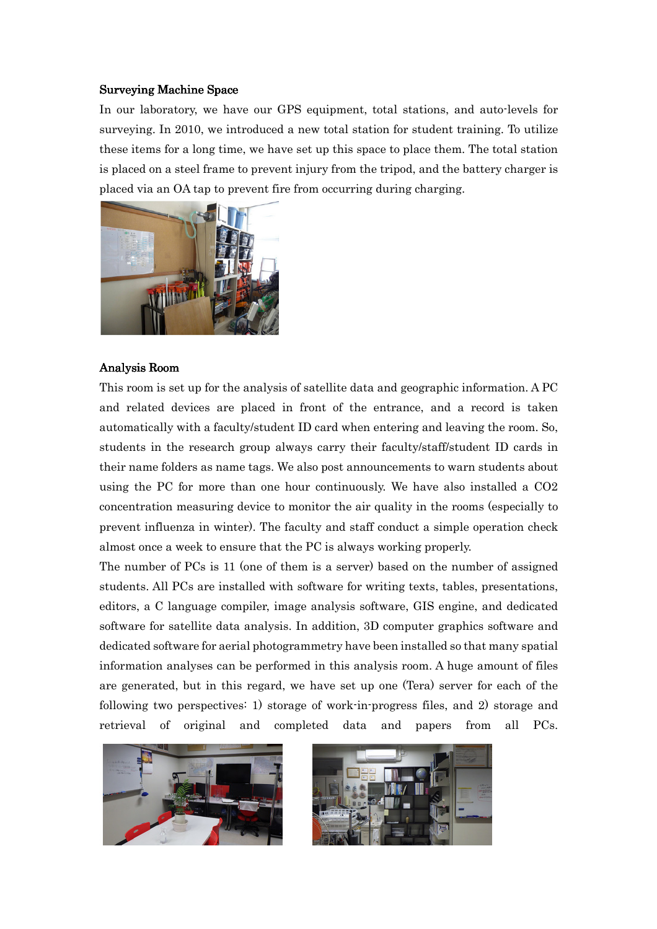#### Surveying Machine Space

In our laboratory, we have our GPS equipment, total stations, and auto-levels for surveying. In 2010, we introduced a new total station for student training. To utilize these items for a long time, we have set up this space to place them. The total station is placed on a steel frame to prevent injury from the tripod, and the battery charger is placed via an OA tap to prevent fire from occurring during charging.



#### Analysis Room

This room is set up for the analysis of satellite data and geographic information. A PC and related devices are placed in front of the entrance, and a record is taken automatically with a faculty/student ID card when entering and leaving the room. So, students in the research group always carry their faculty/staff/student ID cards in their name folders as name tags. We also post announcements to warn students about using the PC for more than one hour continuously. We have also installed a CO2 concentration measuring device to monitor the air quality in the rooms (especially to prevent influenza in winter). The faculty and staff conduct a simple operation check almost once a week to ensure that the PC is always working properly.

The number of PCs is 11 (one of them is a server) based on the number of assigned students. All PCs are installed with software for writing texts, tables, presentations, editors, a C language compiler, image analysis software, GIS engine, and dedicated software for satellite data analysis. In addition, 3D computer graphics software and dedicated software for aerial photogrammetry have been installed so that many spatial information analyses can be performed in this analysis room. A huge amount of files are generated, but in this regard, we have set up one (Tera) server for each of the following two perspectives: 1) storage of work-in-progress files, and 2) storage and retrieval of original and completed data and papers from all PCs.



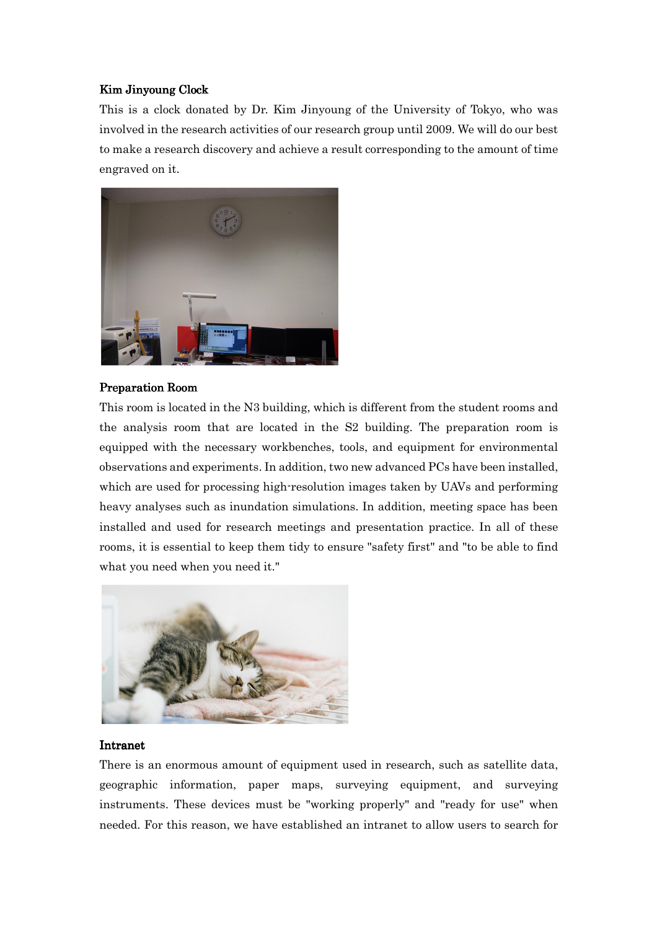## Kim Jinyoung Clock

This is a clock donated by Dr. Kim Jinyoung of the University of Tokyo, who was involved in the research activities of our research group until 2009. We will do our best to make a research discovery and achieve a result corresponding to the amount of time engraved on it.



#### Preparation Room

This room is located in the N3 building, which is different from the student rooms and the analysis room that are located in the S2 building. The preparation room is equipped with the necessary workbenches, tools, and equipment for environmental observations and experiments. In addition, two new advanced PCs have been installed, which are used for processing high-resolution images taken by UAVs and performing heavy analyses such as inundation simulations. In addition, meeting space has been installed and used for research meetings and presentation practice. In all of these rooms, it is essential to keep them tidy to ensure "safety first" and "to be able to find what you need when you need it."



#### Intranet

There is an enormous amount of equipment used in research, such as satellite data, geographic information, paper maps, surveying equipment, and surveying instruments. These devices must be "working properly" and "ready for use" when needed. For this reason, we have established an intranet to allow users to search for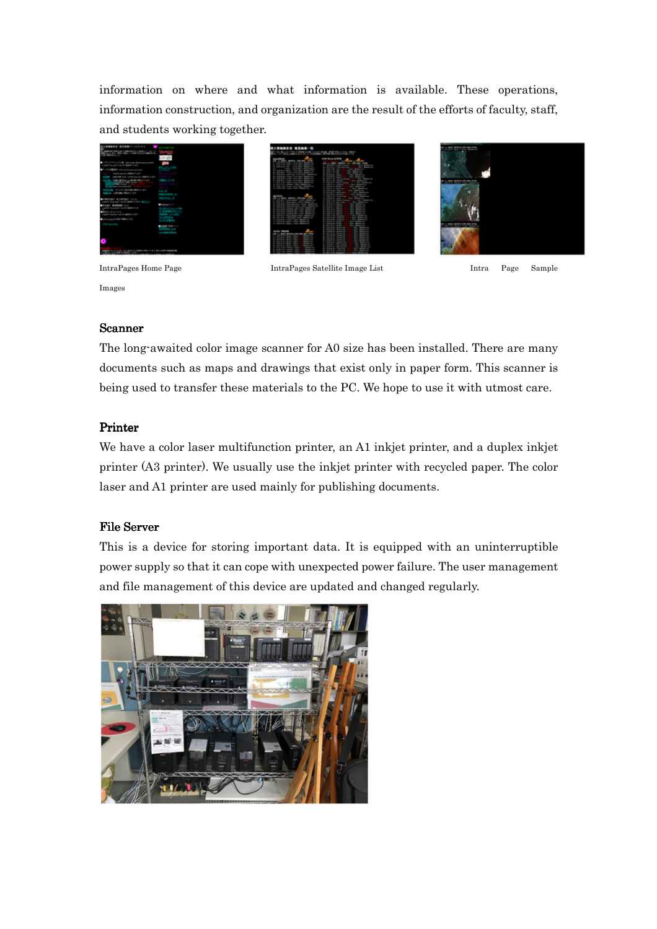information on where and what information is available. These operations, information construction, and organization are the result of the efforts of faculty, staff, and students working together.





IntraPages Home Page IntraPages Satellite Image List Intra Page Sample



Images

## Scanner

The long-awaited color image scanner for A0 size has been installed. There are many documents such as maps and drawings that exist only in paper form. This scanner is being used to transfer these materials to the PC. We hope to use it with utmost care.

# Printer

We have a color laser multifunction printer, an A1 inkjet printer, and a duplex inkjet printer (A3 printer). We usually use the inkjet printer with recycled paper. The color laser and A1 printer are used mainly for publishing documents.

# File Server

This is a device for storing important data. It is equipped with an uninterruptible power supply so that it can cope with unexpected power failure. The user management and file management of this device are updated and changed regularly.